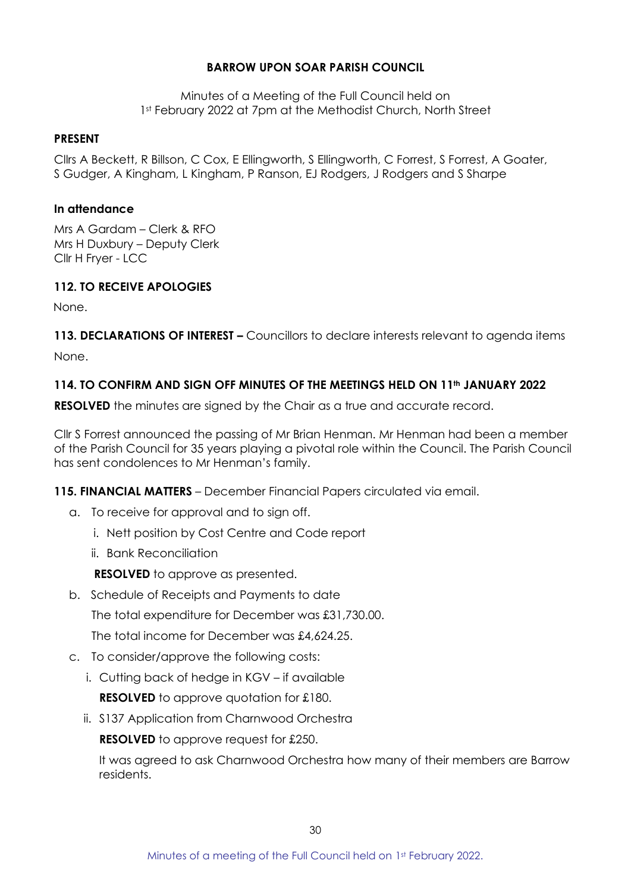## **BARROW UPON SOAR PARISH COUNCIL**

Minutes of a Meeting of the Full Council held on 1st February 2022 at 7pm at the Methodist Church, North Street

#### **PRESENT**

Cllrs A Beckett, R Billson, C Cox, E Ellingworth, S Ellingworth, C Forrest, S Forrest, A Goater, S Gudger, A Kingham, L Kingham, P Ranson, EJ Rodgers, J Rodgers and S Sharpe

#### **In attendance**

Mrs A Gardam – Clerk & RFO Mrs H Duxbury – Deputy Clerk Cllr H Fryer - LCC

## **112. TO RECEIVE APOLOGIES**

None.

**113. DECLARATIONS OF INTEREST –** Councillors to declare interests relevant to agenda items None.

## **114. TO CONFIRM AND SIGN OFF MINUTES OF THE MEETINGS HELD ON 11th JANUARY 2022**

**RESOLVED** the minutes are signed by the Chair as a true and accurate record.

Cllr S Forrest announced the passing of Mr Brian Henman. Mr Henman had been a member of the Parish Council for 35 years playing a pivotal role within the Council. The Parish Council has sent condolences to Mr Henman's family.

**115. FINANCIAL MATTERS** – December Financial Papers circulated via email.

- a. To receive for approval and to sign off.
	- i. Nett position by Cost Centre and Code report
	- ii. Bank Reconciliation

**RESOLVED** to approve as presented.

- b. Schedule of Receipts and Payments to date The total expenditure for December was £31,730.00. The total income for December was £4,624.25.
- c. To consider/approve the following costs:
	- i. Cutting back of hedge in KGV if available **RESOLVED** to approve quotation for £180.
	- ii. S137 Application from Charnwood Orchestra

**RESOLVED** to approve request for £250.

It was agreed to ask Charnwood Orchestra how many of their members are Barrow residents.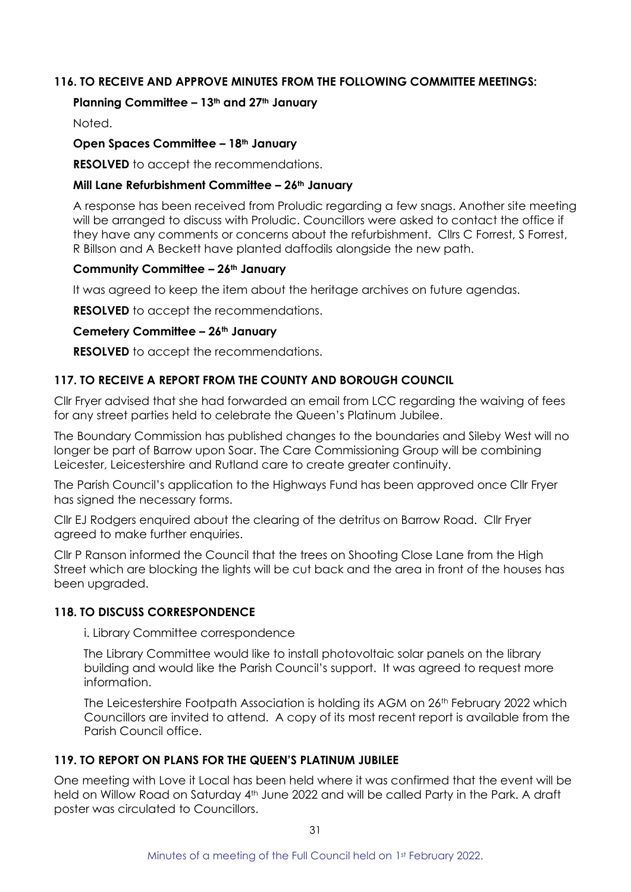## **116. TO RECEIVE AND APPROVE MINUTES FROM THE FOLLOWING COMMITTEE MEETINGS:**

### **Planning Committee – 13th and 27th January**

Noted.

### **Open Spaces Committee – 18th January**

**RESOLVED** to accept the recommendations.

### **Mill Lane Refurbishment Committee – 26th January**

A response has been received from Proludic regarding a few snags. Another site meeting will be arranged to discuss with Proludic. Councillors were asked to contact the office if they have any comments or concerns about the refurbishment. Cllrs C Forrest, S Forrest, R Billson and A Beckett have planted daffodils alongside the new path.

#### **Community Committee – 26th January**

It was agreed to keep the item about the heritage archives on future agendas.

**RESOLVED** to accept the recommendations.

#### **Cemetery Committee – 26th January**

**RESOLVED** to accept the recommendations.

# **117. TO RECEIVE A REPORT FROM THE COUNTY AND BOROUGH COUNCIL**

Cllr Fryer advised that she had forwarded an email from LCC regarding the waiving of fees for any street parties held to celebrate the Queen's Platinum Jubilee.

The Boundary Commission has published changes to the boundaries and Sileby West will no longer be part of Barrow upon Soar. The Care Commissioning Group will be combining Leicester, Leicestershire and Rutland care to create greater continuity.

The Parish Council's application to the Highways Fund has been approved once Cllr Fryer has signed the necessary forms.

Cllr EJ Rodgers enquired about the clearing of the detritus on Barrow Road. Cllr Fryer agreed to make further enquiries.

Cllr P Ranson informed the Council that the trees on Shooting Close Lane from the High Street which are blocking the lights will be cut back and the area in front of the houses has been upgraded.

## **118. TO DISCUSS CORRESPONDENCE**

i. Library Committee correspondence

The Library Committee would like to install photovoltaic solar panels on the library building and would like the Parish Council's support. It was agreed to request more information.

The Leicestershire Footpath Association is holding its AGM on 26th February 2022 which Councillors are invited to attend. A copy of its most recent report is available from the Parish Council office.

## **119. TO REPORT ON PLANS FOR THE QUEEN'S PLATINUM JUBILEE**

One meeting with Love it Local has been held where it was confirmed that the event will be held on Willow Road on Saturday 4<sup>th</sup> June 2022 and will be called Party in the Park. A draft poster was circulated to Councillors.